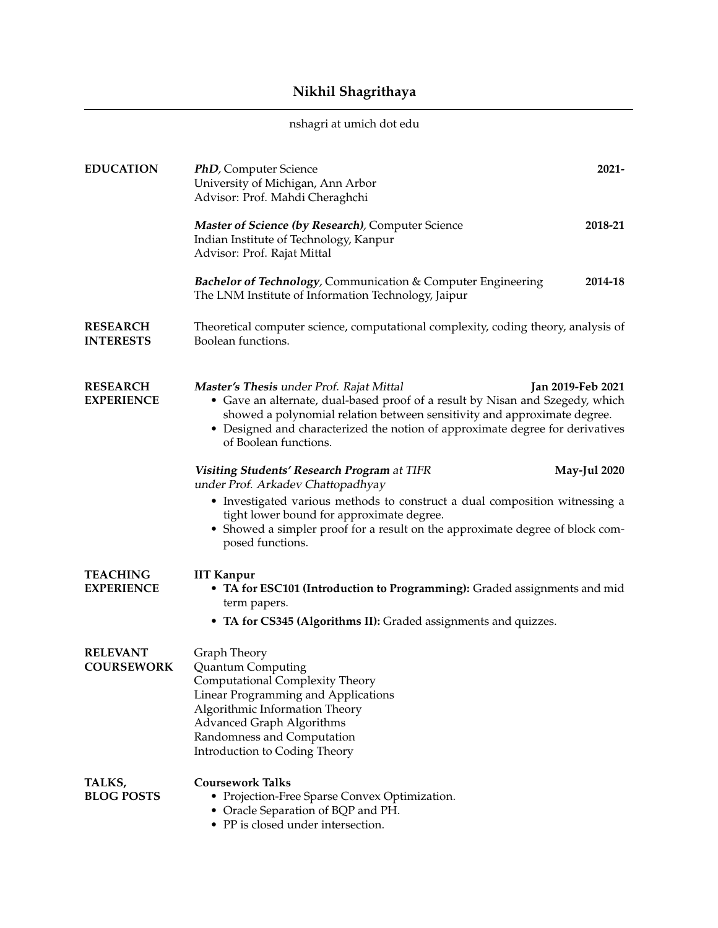## **Nikhil Shagrithaya**

## nshagri at umich dot edu

| <b>EDUCATION</b>                     | <b>PhD</b> , Computer Science<br>University of Michigan, Ann Arbor<br>Advisor: Prof. Mahdi Cheraghchi                                                                                                                                                                                                                                | $2021 -$            |
|--------------------------------------|--------------------------------------------------------------------------------------------------------------------------------------------------------------------------------------------------------------------------------------------------------------------------------------------------------------------------------------|---------------------|
|                                      | Master of Science (by Research), Computer Science<br>Indian Institute of Technology, Kanpur<br>Advisor: Prof. Rajat Mittal                                                                                                                                                                                                           | 2018-21             |
|                                      | <b>Bachelor of Technology, Communication &amp; Computer Engineering</b><br>The LNM Institute of Information Technology, Jaipur                                                                                                                                                                                                       | 2014-18             |
| <b>RESEARCH</b><br><b>INTERESTS</b>  | Theoretical computer science, computational complexity, coding theory, analysis of<br>Boolean functions.                                                                                                                                                                                                                             |                     |
| <b>RESEARCH</b><br><b>EXPERIENCE</b> | Master's Thesis under Prof. Rajat Mittal<br>Jan 2019-Feb 2021<br>• Gave an alternate, dual-based proof of a result by Nisan and Szegedy, which<br>showed a polynomial relation between sensitivity and approximate degree.<br>• Designed and characterized the notion of approximate degree for derivatives<br>of Boolean functions. |                     |
|                                      | <b>Visiting Students' Research Program at TIFR</b><br>under Prof. Arkadev Chattopadhyay                                                                                                                                                                                                                                              | <b>May-Jul 2020</b> |
|                                      | • Investigated various methods to construct a dual composition witnessing a<br>tight lower bound for approximate degree.                                                                                                                                                                                                             |                     |
|                                      | • Showed a simpler proof for a result on the approximate degree of block com-<br>posed functions.                                                                                                                                                                                                                                    |                     |
| <b>TEACHING</b><br><b>EXPERIENCE</b> | <b>IIT Kanpur</b><br>• TA for ESC101 (Introduction to Programming): Graded assignments and mid<br>term papers.                                                                                                                                                                                                                       |                     |
|                                      | • TA for CS345 (Algorithms II): Graded assignments and quizzes.                                                                                                                                                                                                                                                                      |                     |
| <b>RELEVANT</b><br><b>COURSEWORK</b> | Graph Theory<br>Quantum Computing<br>Computational Complexity Theory<br>Linear Programming and Applications<br>Algorithmic Information Theory<br><b>Advanced Graph Algorithms</b><br>Randomness and Computation<br>Introduction to Coding Theory                                                                                     |                     |
| TALKS,<br><b>BLOG POSTS</b>          | <b>Coursework Talks</b><br>• Projection-Free Sparse Convex Optimization.<br>• Oracle Separation of BQP and PH.<br>• PP is closed under intersection.                                                                                                                                                                                 |                     |